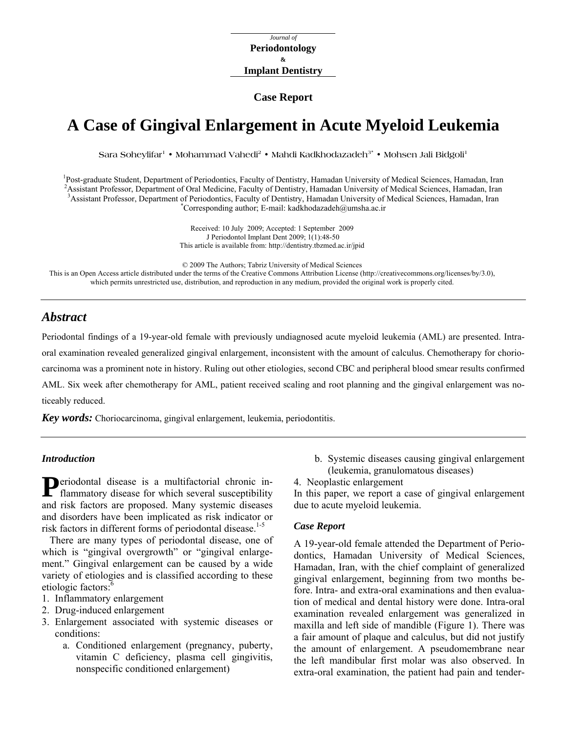*Journal of*  **Periodontology & Implant Dentistry** 

#### **Case Report**

# **A Case of Gingival Enlargement in Acute Myeloid Leukemia**

Sara Soheylifar<sup>1</sup> • Mohammad Vahedi<sup>2</sup> • Mahdi Kadkhodazadeh<sup>3</sup> • Mohsen Jali Bidgoli<sup>1</sup>

<sup>1</sup> Post-graduate Student, Department of Periodontics, Faculty of Dentistry, Hamadan University of Medical Sciences, Hamadan, Iran <sup>2</sup> Assistant Professor, Department of Oral Medicine, Feaulty of Dentistry, Hamadan, Injugg <sup>2</sup> Assistant Professor, Department of Oral Medicine, Faculty of Dentistry, Hamadan University of Medical Sciences, Hamadan, Iran <sup>3</sup> Assistant Professor, Department of Periodontics, Faculty of Dentistry, Hamadan University of Medical Sciences, Hamadan, Iran \* Corresponding author; E-mail: [kadkhodazadeh@umsha.ac.ir](mailto:kadkhodazadeh@umsha.ac.ir) 

> Received: 10 July 2009; Accepted: 1 September 2009 J Periodontol Implant Dent 2009; 1(1):48-50 This article is available from:<http://dentistry.tbzmed.ac.ir/jpid>

© 2009 The Authors; Tabriz University of Medical Sciences This is an Open Access article distributed under the terms of the Creative Commons Attribution License (<http://creativecommons.org/licenses/by/3.0>), which permits unrestricted use, distribution, and reproduction in any medium, provided the original work is properly cited.

## *Abstract*

Periodontal findings of a 19-year-old female with previously undiagnosed acute myeloid leukemia (AML) are presented. Intraoral examination revealed generalized gingival enlargement, inconsistent with the amount of calculus. Chemotherapy for choriocarcinoma was a prominent note in history. Ruling out other etiologies, second CBC and peripheral blood smear results confirmed AML. Six week after chemotherapy for AML, patient received scaling and root planning and the gingival enlargement was noticeably reduced.

*Key words:* Choriocarcinoma, gingival enlargement, leukemia, periodontitis.

### *Introduction*

Periodontal disease is a multifactorial chronic in-<br>flammatory disease for which several susceptibility flammatory disease for which several susceptibility and risk factors are proposed. Many systemic diseases and disorders have been implicated as risk indicator or risk factors in different forms of periodontal disease.<sup>1-5</sup>

There are many types of periodontal disease, one of which is "gingival overgrowth" or "gingival enlargement." Gingival enlargement can be caused by a wide variety of etiologies and is classified according to these etiologic factors:<sup>6</sup>

- 1. Inflammatory enlargement
- 2. Drug-induced enlargement
- 3. Enlargement associated with systemic diseases or conditions:
	- a. Conditioned enlargement (pregnancy, puberty, vitamin C deficiency, plasma cell gingivitis, nonspecific conditioned enlargement)
- b. Systemic diseases causing gingival enlargement (leukemia, granulomatous diseases)
- 4. Neoplastic enlargement

In this paper, we report a case of gingival enlargement due to acute myeloid leukemia.

#### *Case Report*

A 19-year-old female attended the Department of Periodontics, Hamadan University of Medical Sciences, Hamadan, Iran, with the chief complaint of generalized gingival enlargement, beginning from two months before. Intra- and extra-oral examinations and then evaluation of medical and dental history were done. Intra-oral examination revealed enlargement was generalized in maxilla and left side of mandible (Figure 1). There was a fair amount of plaque and calculus, but did not justify the amount of enlargement. A pseudomembrane near the left mandibular first molar was also observed. In extra-oral examination, the patient had pain and tender-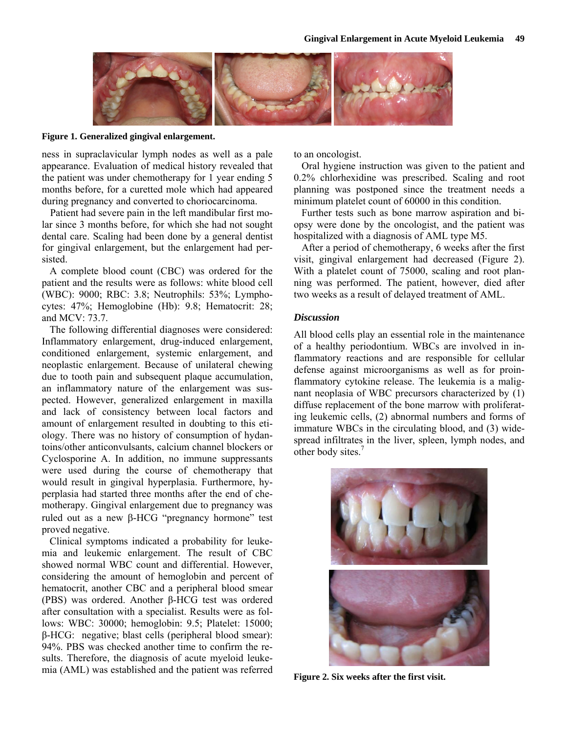

**Figure 1. Generalized gingival enlargement.** 

ness in supraclavicular lymph nodes as well as a pale appearance. Evaluation of medical history revealed that the patient was under chemotherapy for 1 year ending 5 months before, for a curetted mole which had appeared during pregnancy and converted to choriocarcinoma.

Patient had severe pain in the left mandibular first molar since 3 months before, for which she had not sought dental care. Scaling had been done by a general dentist for gingival enlargement, but the enlargement had persisted.

A complete blood count (CBC) was ordered for the patient and the results were as follows: white blood cell (WBC): 9000; RBC: 3.8; Neutrophils: 53%; Lymphocytes: 47%; Hemoglobine (Hb): 9.8; Hematocrit: 28; and MCV: 73.7.

The following differential diagnoses were considered: Inflammatory enlargement, drug-induced enlargement, conditioned enlargement, systemic enlargement, and neoplastic enlargement. Because of unilateral chewing due to tooth pain and subsequent plaque accumulation, an inflammatory nature of the enlargement was suspected. However, generalized enlargement in maxilla and lack of consistency between local factors and amount of enlargement resulted in doubting to this etiology. There was no history of consumption of hydantoins/other anticonvulsants, calcium channel blockers or Cyclosporine A. In addition, no immune suppressants were used during the course of chemotherapy that would result in gingival hyperplasia. Furthermore, hyperplasia had started three months after the end of chemotherapy. Gingival enlargement due to pregnancy was ruled out as a new  $\beta$ -HCG "pregnancy hormone" test proved negative.

Clinical symptoms indicated a probability for leukemia and leukemic enlargement. The result of CBC showed normal WBC count and differential. However, considering the amount of hemoglobin and percent of hematocrit, another CBC and a peripheral blood smear (PBS) was ordered. Another β-HCG test was ordered after consultation with a specialist. Results were as follows: WBC: 30000; hemoglobin: 9.5; Platelet: 15000; β-HCG: negative; blast cells (peripheral blood smear): 94%. PBS was checked another time to confirm the results. Therefore, the diagnosis of acute myeloid leukemia (AML) was established and the patient was referred to an oncologist.

Oral hygiene instruction was given to the patient and 0.2% chlorhexidine was prescribed. Scaling and root planning was postponed since the treatment needs a minimum platelet count of 60000 in this condition.

Further tests such as bone marrow aspiration and biopsy were done by the oncologist, and the patient was hospitalized with a diagnosis of AML type M5.

After a period of chemotherapy, 6 weeks after the first visit, gingival enlargement had decreased (Figure 2). With a platelet count of 75000, scaling and root planning was performed. The patient, however, died after two weeks as a result of delayed treatment of AML.

#### *Discussion*

All blood cells play an essential role in the maintenance of a healthy periodontium. WBCs are involved in inflammatory reactions and are responsible for cellular defense against microorganisms as well as for proinflammatory cytokine release. The leukemia is a malignant neoplasia of WBC precursors characterized by (1) diffuse replacement of the bone marrow with proliferating leukemic cells, (2) abnormal numbers and forms of immature WBCs in the circulating blood, and (3) widespread infiltrates in the liver, spleen, lymph nodes, and other body sites.<sup>7</sup>



**Figure 2. Six weeks after the first visit.**